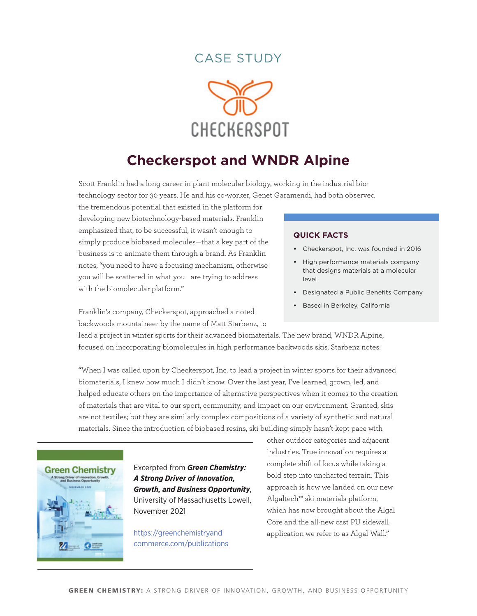# case studY



# **Checkerspot and WNDR Alpine**

Scott Franklin had a long career in plant molecular biology, working in the industrial biotechnology sector for 30 years. He and his co-worker, Genet Garamendi, had both observed

the tremendous potential that existed in the platform for developing new biotechnology-based materials. Franklin emphasized that, to be successful, it wasn't enough to simply produce biobased molecules—that a key part of the business is to animate them through a brand. As Franklin notes, "you need to have a focusing mechanism, otherwise you will be scattered in what you are trying to address with the biomolecular platform."

Franklin's company, Checkerspot, [approached a noted](https://wndr-alpine.com/pages/our-story)  [backwoods mountaineer by the name of Matt Starbenz,](https://wndr-alpine.com/pages/our-story) to

#### **quick Facts**

- **•**  Checkerspot, Inc. was founded in 2016
- **High performance materials company** that designs materials at a molecular level
- **•**  Designated a Public Benefits Company
- **•**  Based in Berkeley, California

lead a project in winter sports for their advanced biomaterials. The new brand, WNDR Alpine, focused on incorporating biomolecules in high performance backwoods skis. Starbenz notes:

"When I was called upon by Checkerspot, Inc. to lead a project in winter sports for their advanced biomaterials, I knew how much I didn't know. Over the last year, I've learned, grown, led, and helped educate others on the importance of alternative perspectives when it comes to the creation of materials that are vital to our sport, community, and impact on our environment. Granted, skis are not textiles; but they are similarly complex compositions of a variety of synthetic and natural materials. Since the introduction of biobased resins, ski building simply hasn't kept pace with



Excerpted from *Green Chemistry: A Strong Driver of Innovation, Growth, and Business Opportunity*, University of Massachusetts Lowell, November 2021

[https://greenchemistryand](https://greenchemistryandcommerce.com/publications) [commerce.com/publications](https://greenchemistryandcommerce.com/publications) other outdoor categories and adjacent industries. True innovation requires a complete shift of focus while taking a bold step into uncharted terrain. This approach is how we landed on our new Algaltech™ ski materials platform, which has now brought about the Algal Core and the all-new cast PU sidewall application we refer to as Algal Wall."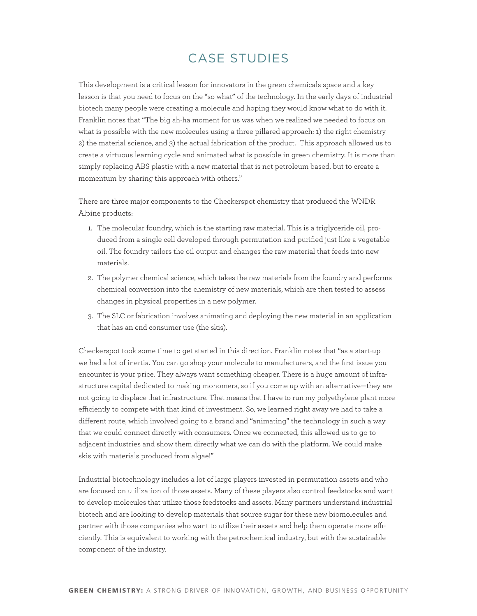# case studies

This development is a critical lesson for innovators in the green chemicals space and a key lesson is that you need to focus on the "so what" of the technology. In the early days of industrial biotech many people were creating a molecule and hoping they would know what to do with it. Franklin notes that "The big ah-ha moment for us was when we realized we needed to focus on what is possible with the new molecules using a three pillared approach: 1) the right chemistry 2) the material science, and 3) the actual fabrication of the product. This approach allowed us to create a virtuous learning cycle and animated what is possible in green chemistry. It is more than simply replacing ABS plastic with a new material that is not petroleum based, but to create a momentum by sharing this approach with others."

There are three major components to the Checkerspot chemistry that produced the WNDR Alpine products:

- 1. The molecular foundry, which is the starting raw material. This is a triglyceride oil, produced from a single cell developed through permutation and purified just like a vegetable oil. The foundry tailors the oil output and changes the raw material that feeds into new materials.
- 2. The polymer chemical science, which takes the raw materials from the foundry and performs chemical conversion into the chemistry of new materials, which are then tested to assess changes in physical properties in a new polymer.
- 3. The SLC or fabrication involves animating and deploying the new material in an application that has an end consumer use (the skis).

Checkerspot took some time to get started in this direction. Franklin notes that "as a start-up we had a lot of inertia. You can go shop your molecule to manufacturers, and the first issue you encounter is your price. They always want something cheaper. There is a huge amount of infrastructure capital dedicated to making monomers, so if you come up with an alternative—they are not going to displace that infrastructure. That means that I have to run my polyethylene plant more efficiently to compete with that kind of investment. So, we learned right away we had to take a different route, which involved going to a brand and "animating" the technology in such a way that we could connect directly with consumers. Once we connected, this allowed us to go to adjacent industries and show them directly what we can do with the platform. We could make skis with materials produced from algae!"

Industrial biotechnology includes a lot of large players invested in permutation assets and who are focused on utilization of those assets. Many of these players also control feedstocks and want to develop molecules that utilize those feedstocks and assets. Many partners understand industrial biotech and are looking to develop materials that source sugar for these new biomolecules and partner with those companies who want to utilize their assets and help them operate more efficiently. This is equivalent to working with the petrochemical industry, but with the sustainable component of the industry.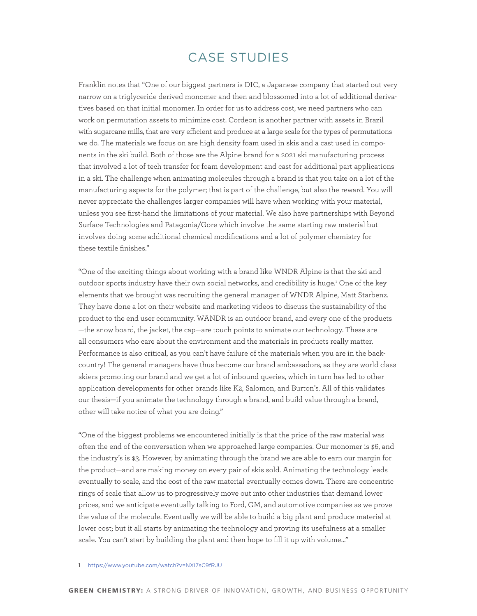# case studies

Franklin notes that "One of our biggest partners is DIC, a Japanese company that started out very narrow on a triglyceride derived monomer and then and blossomed into a lot of additional derivatives based on that initial monomer. In order for us to address cost, we need partners who can work on permutation assets to minimize cost. Cordeon is another partner with assets in Brazil with sugarcane mills, that are very efficient and produce at a large scale for the types of permutations we do. The materials we focus on are high density foam used in skis and a cast used in components in the ski build. Both of those are the Alpine brand for a 2021 ski manufacturing process that involved a lot of tech transfer for foam development and cast for additional part applications in a ski. The challenge when animating molecules through a brand is that you take on a lot of the manufacturing aspects for the polymer; that is part of the challenge, but also the reward. You will never appreciate the challenges larger companies will have when working with your material, unless you see first-hand the limitations of your material. We also have partnerships with Beyond Surface Technologies and Patagonia/Gore which involve the same starting raw material but involves doing some additional chemical modifications and a lot of polymer chemistry for these textile finishes."

"One of the exciting things about working with a brand like WNDR Alpine is that the ski and outdoor sports industry have their own social networks, and credibility is huge.<sup>1</sup> One of the key elements that we brought was recruiting the general manager of WNDR Alpine, Matt Starbenz. They have done a lot on their website and marketing videos to discuss the sustainability of the product to the end user community. WANDR is an outdoor brand, and every one of the products —the snow board, the jacket, the cap—are touch points to animate our technology. These are all consumers who care about the environment and the materials in products really matter. Performance is also critical, as you can't have failure of the materials when you are in the backcountry! The general managers have thus become our brand ambassadors, as they are world class skiers promoting our brand and we get a lot of inbound queries, which in turn has led to other application developments for other brands like K2, Salomon, and Burton's. All of this validates our thesis—if you animate the technology through a brand, and build value through a brand, other will take notice of what you are doing."

"One of the biggest problems we encountered initially is that the price of the raw material was often the end of the conversation when we approached large companies. Our monomer is \$6, and the industry's is \$3. However, by animating through the brand we are able to earn our margin for the product—and are making money on every pair of skis sold. Animating the technology leads eventually to scale, and the cost of the raw material eventually comes down. There are concentric rings of scale that allow us to progressively move out into other industries that demand lower prices, and we anticipate eventually talking to Ford, GM, and automotive companies as we prove the value of the molecule. Eventually we will be able to build a big plant and produce material at lower cost; but it all starts by animating the technology and proving its usefulness at a smaller scale. You can't start by building the plant and then hope to fill it up with volume…"

#### 1 <https://www.youtube.com/watch?v=NXI7sC9fRJU>